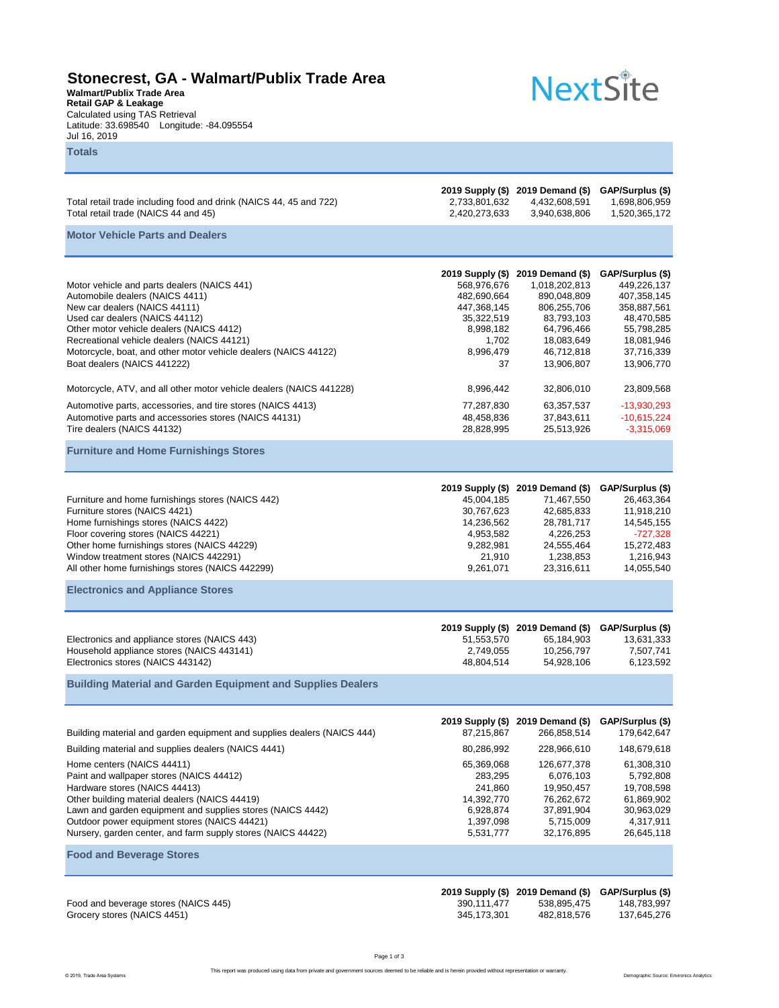## **Stonecrest, GA - Walmart/Publix Trade Area**

**Walmart/Publix Trade Area Retail GAP & Leakage** Calculated using TAS Retrieval Latitude: 33.698540 Longitude: -84.095554 Jul 16, 2019 **Totals**

## **NextSite**

| Total retail trade including food and drink (NAICS 44, 45 and 722)<br>Total retail trade (NAICS 44 and 45)                                                                                                                                                                                                                                                                                                                                                                                                  | 2,733,801,632<br>2,420,273,633                                                                                       | 2019 Supply (\$) 2019 Demand (\$) GAP/Surplus (\$)<br>4,432,608,591<br>3,940,638,806                                                                             | 1,698,806,959<br>1,520,365,172                                                                                                                 |
|-------------------------------------------------------------------------------------------------------------------------------------------------------------------------------------------------------------------------------------------------------------------------------------------------------------------------------------------------------------------------------------------------------------------------------------------------------------------------------------------------------------|----------------------------------------------------------------------------------------------------------------------|------------------------------------------------------------------------------------------------------------------------------------------------------------------|------------------------------------------------------------------------------------------------------------------------------------------------|
| <b>Motor Vehicle Parts and Dealers</b>                                                                                                                                                                                                                                                                                                                                                                                                                                                                      |                                                                                                                      |                                                                                                                                                                  |                                                                                                                                                |
| Motor vehicle and parts dealers (NAICS 441)<br>Automobile dealers (NAICS 4411)<br>New car dealers (NAICS 44111)<br>Used car dealers (NAICS 44112)<br>Other motor vehicle dealers (NAICS 4412)<br>Recreational vehicle dealers (NAICS 44121)<br>Motorcycle, boat, and other motor vehicle dealers (NAICS 44122)<br>Boat dealers (NAICS 441222)                                                                                                                                                               | 2019 Supply (\$)<br>568,976,676<br>482,690,664<br>447,368,145<br>35,322,519<br>8,998,182<br>1,702<br>8,996,479<br>37 | 2019 Demand (\$)<br>1,018,202,813<br>890,048,809<br>806,255,706<br>83,793,103<br>64,796,466<br>18,083,649<br>46,712,818<br>13,906,807                            | GAP/Surplus (\$)<br>449,226,137<br>407,358,145<br>358,887,561<br>48,470,585<br>55,798,285<br>18,081,946<br>37,716,339<br>13,906,770            |
| Motorcycle, ATV, and all other motor vehicle dealers (NAICS 441228)                                                                                                                                                                                                                                                                                                                                                                                                                                         | 8,996,442                                                                                                            | 32,806,010                                                                                                                                                       | 23,809,568                                                                                                                                     |
| Automotive parts, accessories, and tire stores (NAICS 4413)<br>Automotive parts and accessories stores (NAICS 44131)<br>Tire dealers (NAICS 44132)                                                                                                                                                                                                                                                                                                                                                          | 77,287,830<br>48,458,836<br>28,828,995                                                                               | 63,357,537<br>37,843,611<br>25,513,926                                                                                                                           | $-13,930,293$<br>$-10,615,224$<br>$-3,315,069$                                                                                                 |
| <b>Furniture and Home Furnishings Stores</b>                                                                                                                                                                                                                                                                                                                                                                                                                                                                |                                                                                                                      |                                                                                                                                                                  |                                                                                                                                                |
| Furniture and home furnishings stores (NAICS 442)<br>Furniture stores (NAICS 4421)<br>Home furnishings stores (NAICS 4422)<br>Floor covering stores (NAICS 44221)<br>Other home furnishings stores (NAICS 44229)<br>Window treatment stores (NAICS 442291)<br>All other home furnishings stores (NAICS 442299)                                                                                                                                                                                              | 2019 Supply (\$)<br>45,004,185<br>30,767,623<br>14,236,562<br>4,953,582<br>9,282,981<br>21,910<br>9,261,071          | 2019 Demand (\$)<br>71,467,550<br>42,685,833<br>28,781,717<br>4,226,253<br>24,555,464<br>1,238,853<br>23,316,611                                                 | GAP/Surplus (\$)<br>26,463,364<br>11,918,210<br>14,545,155<br>$-727,328$<br>15,272,483<br>1,216,943<br>14,055,540                              |
| <b>Electronics and Appliance Stores</b>                                                                                                                                                                                                                                                                                                                                                                                                                                                                     |                                                                                                                      |                                                                                                                                                                  |                                                                                                                                                |
| Electronics and appliance stores (NAICS 443)<br>Household appliance stores (NAICS 443141)<br>Electronics stores (NAICS 443142)<br><b>Building Material and Garden Equipment and Supplies Dealers</b>                                                                                                                                                                                                                                                                                                        | 51,553,570<br>2,749,055<br>48,804,514                                                                                | 2019 Supply (\$) 2019 Demand (\$)<br>65,184,903<br>10,256,797<br>54,928,106                                                                                      | GAP/Surplus (\$)<br>13,631,333<br>7,507,741<br>6,123,592                                                                                       |
|                                                                                                                                                                                                                                                                                                                                                                                                                                                                                                             |                                                                                                                      |                                                                                                                                                                  |                                                                                                                                                |
| Building material and garden equipment and supplies dealers (NAICS 444)<br>Building material and supplies dealers (NAICS 4441)<br>Home centers (NAICS 44411)<br>Paint and wallpaper stores (NAICS 44412)<br>Hardware stores (NAICS 44413)<br>Other building material dealers (NAICS 44419)<br>Lawn and garden equipment and supplies stores (NAICS 4442)<br>Outdoor power equipment stores (NAICS 44421)<br>Nursery, garden center, and farm supply stores (NAICS 44422)<br><b>Food and Beverage Stores</b> | 87,215,867<br>80,286,992<br>65,369,068<br>283,295<br>241,860<br>14,392,770<br>6,928,874<br>1,397,098<br>5,531,777    | 2019 Supply (\$) 2019 Demand (\$)<br>266,858,514<br>228,966,610<br>126,677,378<br>6,076,103<br>19,950,457<br>76,262,672<br>37,891,904<br>5,715,009<br>32,176,895 | GAP/Surplus (\$)<br>179,642,647<br>148,679,618<br>61,308,310<br>5,792,808<br>19,708,598<br>61.869.902<br>30,963,029<br>4,317,911<br>26,645,118 |
| Food and beverage stores (NAICS 445)<br>Grocery stores (NAICS 4451)                                                                                                                                                                                                                                                                                                                                                                                                                                         | 2019 Supply (\$)<br>390, 111, 477<br>345, 173, 301                                                                   | 2019 Demand (\$)<br>538,895,475<br>482,818,576                                                                                                                   | GAP/Surplus (\$)<br>148,783,997<br>137,645,276                                                                                                 |

This report was produced using data from private and government sources deemed to be reliable and is herein provided without representation or warranty.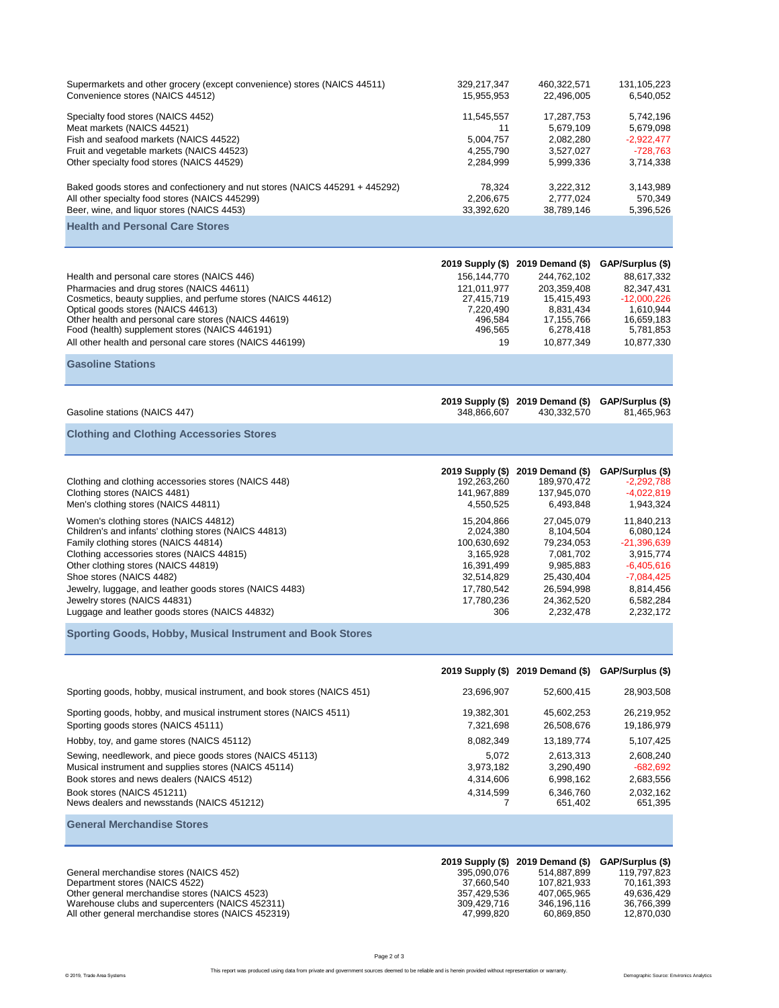| Supermarkets and other grocery (except convenience) stores (NAICS 44511)<br>Convenience stores (NAICS 44512)                                                                                                                                                                                                                                                                                                                                                                                                                                                                                    | 329,217,347<br>15,955,953                                                                                                                                                         | 460,322,571<br>22,496,005                                                                                                                                                             | 131,105,223<br>6,540,052                                                                                                                                                                      |
|-------------------------------------------------------------------------------------------------------------------------------------------------------------------------------------------------------------------------------------------------------------------------------------------------------------------------------------------------------------------------------------------------------------------------------------------------------------------------------------------------------------------------------------------------------------------------------------------------|-----------------------------------------------------------------------------------------------------------------------------------------------------------------------------------|---------------------------------------------------------------------------------------------------------------------------------------------------------------------------------------|-----------------------------------------------------------------------------------------------------------------------------------------------------------------------------------------------|
| Specialty food stores (NAICS 4452)<br>Meat markets (NAICS 44521)<br>Fish and seafood markets (NAICS 44522)<br>Fruit and vegetable markets (NAICS 44523)<br>Other specialty food stores (NAICS 44529)                                                                                                                                                                                                                                                                                                                                                                                            | 11,545,557<br>11<br>5,004,757<br>4,255,790<br>2,284,999                                                                                                                           | 17,287,753<br>5,679,109<br>2,082,280<br>3,527,027<br>5,999,336                                                                                                                        | 5,742,196<br>5,679,098<br>$-2,922,477$<br>$-728,763$<br>3,714,338                                                                                                                             |
| Baked goods stores and confectionery and nut stores (NAICS 445291 + 445292)<br>All other specialty food stores (NAICS 445299)<br>Beer, wine, and liquor stores (NAICS 4453)                                                                                                                                                                                                                                                                                                                                                                                                                     | 78,324<br>2,206,675<br>33,392,620                                                                                                                                                 | 3,222,312<br>2,777,024<br>38,789,146                                                                                                                                                  | 3,143,989<br>570,349<br>5,396,526                                                                                                                                                             |
| <b>Health and Personal Care Stores</b>                                                                                                                                                                                                                                                                                                                                                                                                                                                                                                                                                          |                                                                                                                                                                                   |                                                                                                                                                                                       |                                                                                                                                                                                               |
| Health and personal care stores (NAICS 446)<br>Pharmacies and drug stores (NAICS 44611)<br>Cosmetics, beauty supplies, and perfume stores (NAICS 44612)<br>Optical goods stores (NAICS 44613)<br>Other health and personal care stores (NAICS 44619)<br>Food (health) supplement stores (NAICS 446191)<br>All other health and personal care stores (NAICS 446199)<br><b>Gasoline Stations</b>                                                                                                                                                                                                  | 156, 144, 770<br>121,011,977<br>27,415,719<br>7,220,490<br>496,584<br>496,565<br>19                                                                                               | 2019 Supply (\$) 2019 Demand (\$)<br>244,762,102<br>203,359,408<br>15,415,493<br>8,831,434<br>17,155,766<br>6,278,418<br>10,877,349                                                   | GAP/Surplus (\$)<br>88,617,332<br>82,347,431<br>$-12,000,226$<br>1,610,944<br>16,659,183<br>5,781,853<br>10,877,330                                                                           |
|                                                                                                                                                                                                                                                                                                                                                                                                                                                                                                                                                                                                 |                                                                                                                                                                                   |                                                                                                                                                                                       |                                                                                                                                                                                               |
| Gasoline stations (NAICS 447)                                                                                                                                                                                                                                                                                                                                                                                                                                                                                                                                                                   | 348,866,607                                                                                                                                                                       | 2019 Supply (\$) 2019 Demand (\$)<br>430,332,570                                                                                                                                      | GAP/Surplus (\$)<br>81,465,963                                                                                                                                                                |
| <b>Clothing and Clothing Accessories Stores</b>                                                                                                                                                                                                                                                                                                                                                                                                                                                                                                                                                 |                                                                                                                                                                                   |                                                                                                                                                                                       |                                                                                                                                                                                               |
| Clothing and clothing accessories stores (NAICS 448)<br>Clothing stores (NAICS 4481)<br>Men's clothing stores (NAICS 44811)<br>Women's clothing stores (NAICS 44812)<br>Children's and infants' clothing stores (NAICS 44813)<br>Family clothing stores (NAICS 44814)<br>Clothing accessories stores (NAICS 44815)<br>Other clothing stores (NAICS 44819)<br>Shoe stores (NAICS 4482)<br>Jewelry, luggage, and leather goods stores (NAICS 4483)<br>Jewelry stores (NAICS 44831)<br>Luggage and leather goods stores (NAICS 44832)<br>Sporting Goods, Hobby, Musical Instrument and Book Stores | 2019 Supply (\$)<br>192,263,260<br>141,967,889<br>4,550,525<br>15,204,866<br>2,024,380<br>100,630,692<br>3,165,928<br>16,391,499<br>32,514,829<br>17,780,542<br>17,780,236<br>306 | 2019 Demand (\$)<br>189,970,472<br>137,945,070<br>6,493,848<br>27,045,079<br>8,104,504<br>79,234,053<br>7,081,702<br>9,985,883<br>25,430,404<br>26,594,998<br>24,362,520<br>2,232,478 | GAP/Surplus (\$)<br>$-2,292,788$<br>$-4,022,819$<br>1,943,324<br>11,840,213<br>6,080,124<br>$-21,396,639$<br>3,915,774<br>$-6,405,616$<br>$-7,084,425$<br>8,814,456<br>6,582,284<br>2,232,172 |
|                                                                                                                                                                                                                                                                                                                                                                                                                                                                                                                                                                                                 |                                                                                                                                                                                   |                                                                                                                                                                                       |                                                                                                                                                                                               |
|                                                                                                                                                                                                                                                                                                                                                                                                                                                                                                                                                                                                 |                                                                                                                                                                                   | 2019 Supply (\$) 2019 Demand (\$) GAP/Surplus (\$)                                                                                                                                    |                                                                                                                                                                                               |
| Sporting goods, hobby, musical instrument, and book stores (NAICS 451)<br>Sporting goods, hobby, and musical instrument stores (NAICS 4511)<br>Sporting goods stores (NAICS 45111)                                                                                                                                                                                                                                                                                                                                                                                                              | 23,696,907<br>19,382,301<br>7,321,698                                                                                                                                             | 52,600,415<br>45,602,253<br>26,508,676                                                                                                                                                | 28,903,508<br>26,219,952<br>19,186,979                                                                                                                                                        |
| Hobby, toy, and game stores (NAICS 45112)<br>Sewing, needlework, and piece goods stores (NAICS 45113)<br>Musical instrument and supplies stores (NAICS 45114)<br>Book stores and news dealers (NAICS 4512)<br>Book stores (NAICS 451211)<br>News dealers and newsstands (NAICS 451212)                                                                                                                                                                                                                                                                                                          | 8,082,349<br>5,072<br>3,973,182<br>4,314,606<br>4,314,599<br>7                                                                                                                    | 13,189,774<br>2,613,313<br>3,290,490<br>6,998,162<br>6,346,760<br>651,402                                                                                                             | 5,107,425<br>2,608,240<br>$-682,692$<br>2,683,556<br>2,032,162<br>651,395                                                                                                                     |
| <b>General Merchandise Stores</b>                                                                                                                                                                                                                                                                                                                                                                                                                                                                                                                                                               |                                                                                                                                                                                   |                                                                                                                                                                                       |                                                                                                                                                                                               |
| General merchandise stores (NAICS 452)<br>Department stores (NAICS 4522)<br>Other general merchandise stores (NAICS 4523)<br>Warehouse clubs and supercenters (NAICS 452311)<br>All other general merchandise stores (NAICS 452319)                                                                                                                                                                                                                                                                                                                                                             | 2019 Supply (\$)<br>395,090,076<br>37,660,540<br>357,429,536<br>309,429,716<br>47,999,820                                                                                         | 2019 Demand (\$)<br>514,887,899<br>107,821,933<br>407,065,965<br>346,196,116<br>60,869,850                                                                                            | GAP/Surplus (\$)<br>119,797,823<br>70,161,393<br>49,636,429<br>36,766,399<br>12,870,030                                                                                                       |

Page 2 of 3 This report was produced using data from private and government sources deemed to be reliable and is herein provided without representation or warranty.